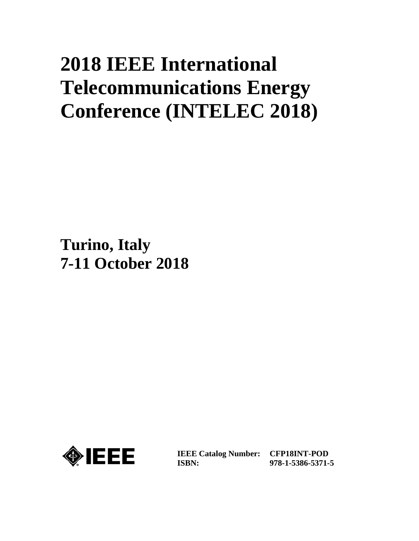# **2018 IEEE International Telecommunications Energy Conference (INTELEC 2018)**

**Turino, Italy 7-11 October 2018**



**IEEE Catalog Number: CFP18INT-POD ISBN:** 

**978-1-5386-5371-5**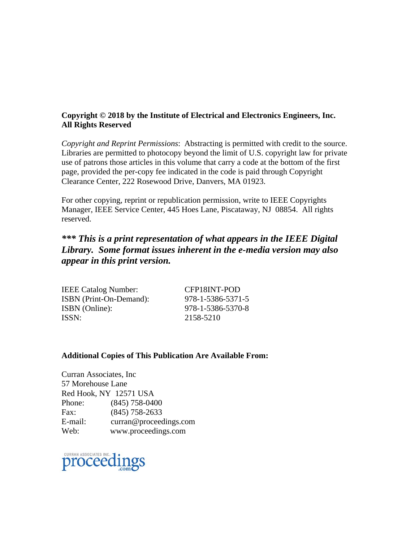#### **Copyright © 2018 by the Institute of Electrical and Electronics Engineers, Inc. All Rights Reserved**

*Copyright and Reprint Permissions*: Abstracting is permitted with credit to the source. Libraries are permitted to photocopy beyond the limit of U.S. copyright law for private use of patrons those articles in this volume that carry a code at the bottom of the first page, provided the per-copy fee indicated in the code is paid through Copyright Clearance Center, 222 Rosewood Drive, Danvers, MA 01923.

For other copying, reprint or republication permission, write to IEEE Copyrights Manager, IEEE Service Center, 445 Hoes Lane, Piscataway, NJ 08854. All rights reserved.

# *\*\*\* This is a print representation of what appears in the IEEE Digital Library. Some format issues inherent in the e-media version may also appear in this print version.*

| <b>IEEE Catalog Number:</b>    | CFP18INT-POD      |
|--------------------------------|-------------------|
| <b>ISBN</b> (Print-On-Demand): | 978-1-5386-5371-5 |
| ISBN (Online):                 | 978-1-5386-5370-8 |
| ISSN:                          | 2158-5210         |
|                                |                   |

#### **Additional Copies of This Publication Are Available From:**

Curran Associates, Inc 57 Morehouse Lane Red Hook, NY 12571 USA Phone: (845) 758-0400 Fax: (845) 758-2633 E-mail: curran@proceedings.com Web: www.proceedings.com

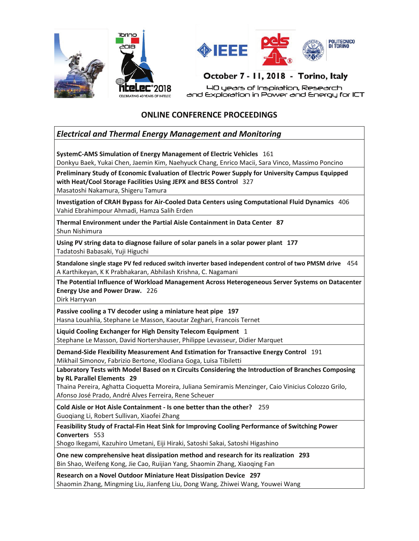



40 years of Inspiration, Research and Exploration in Power and Energy for ICT

#### **ONLINE CONFERENCE PROCEEDINGS**

#### *Electrical and Thermal Energy Management and Monitoring*

**SystemC-AMS Simulation of Energy Management of Electric Vehicles** 161

Donkyu Baek, Yukai Chen, Jaemin Kim, Naehyuck Chang, Enrico Macii, Sara Vinco, Massimo Poncino

**Preliminary Study of Economic Evaluation of Electric Power Supply for University Campus Equipped with Heat/Cool Storage Facilities Using JEPX and BESS Control** 327 Masatoshi Nakamura, Shigeru Tamura

**Investigation of CRAH Bypass for Air-Cooled Data Centers using Computational Fluid Dynamics** 406 Vahid Ebrahimpour Ahmadi, Hamza Salih Erden

**Thermal Environment under the Partial Aisle Containment in Data Center 87** Shun Nishimura

**Using PV string data to diagnose failure of solar panels in a solar power plant 177** Tadatoshi Babasaki, Yuji Higuchi

**Standalone single stage PV fed reduced switch inverter based independent control of two PMSM drive** 454 A Karthikeyan, K K Prabhakaran, Abhilash Krishna, C. Nagamani

**The Potential Influence of Workload Management Across Heterogeneous Server Systems on Datacenter Energy Use and Power Draw.** 226

Dirk Harryvan

**Passive cooling a TV decoder using a miniature heat pipe 197** Hasna Louahlia, Stephane Le Masson, Kaoutar Zeghari, Francois Ternet

**Liquid Cooling Exchanger for High Density Telecom Equipment** 1 Stephane Le Masson, David Nortershauser, Philippe Levasseur, Didier Marquet

**Demand-Side Flexibility Measurement And Estimation for Transactive Energy Control** 191 Mikhail Simonov, Fabrizio Bertone, Klodiana Goga, Luisa Tibiletti

Laboratory Tests with Model Based on π Circuits Considering the Introduction of Branches Composing **by RL Parallel Elements 29**

Thaina Pereira, Aghatta Cioquetta Moreira, Juliana Semiramis Menzinger, Caio Vinicius Colozzo Grilo, Afonso José Prado, André Alves Ferreira, Rene Scheuer

**Cold Aisle or Hot Aisle Containment - Is one better than the other?** 259 Guoqiang Li, Robert Sullivan, Xiaofei Zhang

**Feasibility Study of Fractal-Fin Heat Sink for Improving Cooling Performance of Switching Power Converters** 553

Shogo Ikegami, Kazuhiro Umetani, Eiji Hiraki, Satoshi Sakai, Satoshi Higashino

**One new comprehensive heat dissipation method and research for its realization 293** Bin Shao, Weifeng Kong, Jie Cao, Ruijian Yang, Shaomin Zhang, Xiaoqing Fan

**Research on a Novel Outdoor Miniature Heat Dissipation Device 297** Shaomin Zhang, Mingming Liu, Jianfeng Liu, Dong Wang, Zhiwei Wang, Youwei Wang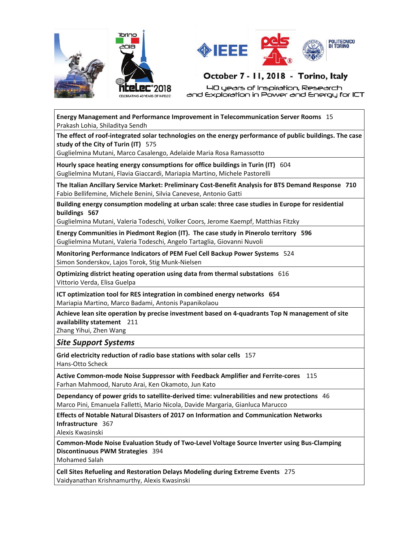



40 years of Inspiration, Research and Exploration in Power and Energy for ICT

**Energy Management and Performance Improvement in Telecommunication Server Rooms** 15 Prakash Lohia, Shiladitya Sendh

**The effect of roof-integrated solar technologies on the energy performance of public buildings. The case study of the City of Turin (IT)** 575

Guglielmina Mutani, Marco Casalengo, Adelaide Maria Rosa Ramassotto

**Hourly space heating energy consumptions for office buildings in Turin (IT)** 604 Guglielmina Mutani, Flavia Giaccardi, Mariapia Martino, Michele Pastorelli

**The Italian Ancillary Service Market: Preliminary Cost-Benefit Analysis for BTS Demand Response 710** Fabio Bellifemine, Michele Benini, Silvia Canevese, Antonio Gatti

**Building energy consumption modeling at urban scale: three case studies in Europe for residential buildings 567**

Guglielmina Mutani, Valeria Todeschi, Volker Coors, Jerome Kaempf, Matthias Fitzky

**Energy Communities in Piedmont Region (IT). The case study in Pinerolo territory 596** Guglielmina Mutani, Valeria Todeschi, Angelo Tartaglia, Giovanni Nuvoli

**Monitoring Performance Indicators of PEM Fuel Cell Backup Power Systems** 524 Simon Sonderskov, Lajos Torok, Stig Munk-Nielsen

**Optimizing district heating operation using data from thermal substations** 616 Vittorio Verda, Elisa Guelpa

**ICT optimization tool for RES integration in combined energy networks 654** Mariapia Martino, Marco Badami, Antonis Papanikolaou

**Achieve lean site operation by precise investment based on 4-quadrants Top N management of site availability statement** 211

Zhang Yihui, Zhen Wang

#### *Site Support Systems*

**Grid electricity reduction of radio base stations with solar cells** 157 Hans-Otto Scheck

**Active Common-mode Noise Suppressor with Feedback Amplifier and Ferrite-cores** 115 Farhan Mahmood, Naruto Arai, Ken Okamoto, Jun Kato

**Dependancy of power grids to satellite-derived time: vulnerabilities and new protections** 46 Marco Pini, Emanuela Falletti, Mario Nicola, Davide Margaria, Gianluca Marucco

**Effects of Notable Natural Disasters of 2017 on Information and Communication Networks Infrastructure** 367

Alexis Kwasinski

**Common-Mode Noise Evaluation Study of Two-Level Voltage Source Inverter using Bus-Clamping Discontinuous PWM Strategies** 394 Mohamed Salah

**Cell Sites Refueling and Restoration Delays Modeling during Extreme Events** 275 Vaidyanathan Krishnamurthy, Alexis Kwasinski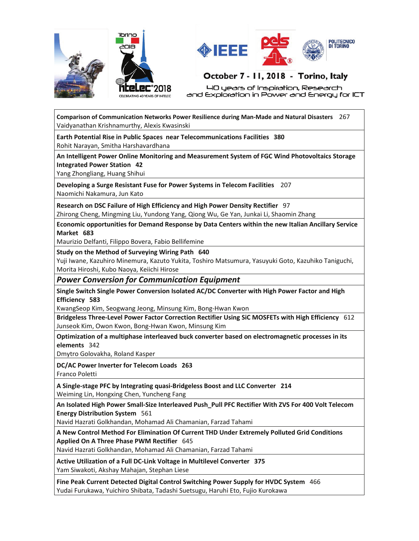



40 years of Inspiration, Research and Exploration in Power and Energy for ICT

**Comparison of Communication Networks Power Resilience during Man-Made and Natural Disasters** 267 Vaidyanathan Krishnamurthy, Alexis Kwasinski

**Earth Potential Rise in Public Spaces near Telecommunications Facilities 380** Rohit Narayan, Smitha Harshavardhana

**An Intelligent Power Online Monitoring and Measurement System of FGC Wind Photovoltaics Storage Integrated Power Station 42**

Yang Zhongliang, Huang Shihui

**Developing a Surge Resistant Fuse for Power Systems in Telecom Facilities** 207 Naomichi Nakamura, Jun Kato

**Research on DSC Failure of High Efficiency and High Power Density Rectifier** 97 Zhirong Cheng, Mingming Liu, Yundong Yang, Qiong Wu, Ge Yan, Junkai Li, Shaomin Zhang

**Economic opportunities for Demand Response by Data Centers within the new Italian Ancillary Service Market 683**

Maurizio Delfanti, Filippo Bovera, Fabio Bellifemine

#### **Study on the Method of Surveying Wiring Path 640**

Yuji Iwane, Kazuhiro Minemura, Kazuto Yukita, Toshiro Matsumura, Yasuyuki Goto, Kazuhiko Taniguchi, Morita Hiroshi, Kubo Naoya, Keiichi Hirose

#### *Power Conversion for Communication Equipment*

**Single Switch Single Power Conversion Isolated AC/DC Converter with High Power Factor and High Efficiency 583**

KwangSeop Kim, Seogwang Jeong, Minsung Kim, Bong-Hwan Kwon

**Bridgeless Three-Level Power Factor Correction Rectifier Using SiC MOSFETs with High Efficiency** 612 Junseok Kim, Owon Kwon, Bong-Hwan Kwon, Minsung Kim

**Optimization of a multiphase interleaved buck converter based on electromagnetic processes in its elements** 342

Dmytro Golovakha, Roland Kasper

**DC/AC Power Inverter for Telecom Loads 263**

Franco Poletti

**A Single-stage PFC by Integrating quasi-Bridgeless Boost and LLC Converter 214** Weiming Lin, Hongxing Chen, Yuncheng Fang

**An Isolated High Power Small-Size Interleaved Push\_Pull PFC Rectifier With ZVS For 400 Volt Telecom Energy Distribution System** 561

Navid Hazrati Golkhandan, Mohamad Ali Chamanian, Farzad Tahami

**A New Control Method For Elimination Of Current THD Under Extremely Polluted Grid Conditions Applied On A Three Phase PWM Rectifier** 645

Navid Hazrati Golkhandan, Mohamad Ali Chamanian, Farzad Tahami

**Active Utilization of a Full DC-Link Voltage in Multilevel Converter 375** Yam Siwakoti, Akshay Mahajan, Stephan Liese

**Fine Peak Current Detected Digital Control Switching Power Supply for HVDC System** 466 Yudai Furukawa, Yuichiro Shibata, Tadashi Suetsugu, Haruhi Eto, Fujio Kurokawa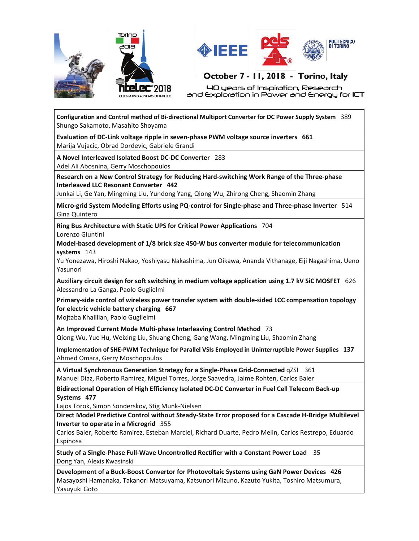



40 years of Inspiration, Research and Exploration in Power and Energy for ICT

**Configuration and Control method of Bi-directional Multiport Converter for DC Power Supply System** 389 Shungo Sakamoto, Masahito Shoyama

**Evaluation of DC-Link voltage ripple in seven-phase PWM voltage source inverters 661** Marija Vujacic, Obrad Dordevic, Gabriele Grandi

**A Novel Interleaved Isolated Boost DC-DC Converter** 283 Adel Ali Abosnina, Gerry Moschopoulos

**Research on a New Control Strategy for Reducing Hard-switching Work Range of the Three-phase Interleaved LLC Resonant Converter 442**

Junkai Li, Ge Yan, Mingming Liu, Yundong Yang, Qiong Wu, Zhirong Cheng, Shaomin Zhang

**Micro-grid System Modeling Efforts using PQ-control for Single-phase and Three-phase Inverter** 514 Gina Quintero

**Ring Bus Architecture with Static UPS for Critical Power Applications** 704 Lorenzo Giuntini

**Model-based development of 1/8 brick size 450-W bus converter module for telecommunication systems** 143

Yu Yonezawa, Hiroshi Nakao, Yoshiyasu Nakashima, Jun Oikawa, Ananda Vithanage, Eiji Nagashima, Ueno Yasunori

**Auxiliary circuit design for soft switching in medium voltage application using 1.7 kV SiC MOSFET** 626 Alessandro La Ganga, Paolo Guglielmi

**Primary-side control of wireless power transfer system with double-sided LCC compensation topology for electric vehicle battery charging 667**

Mojtaba Khalilian, Paolo Guglielmi

**An Improved Current Mode Multi-phase Interleaving Control Method** 73

Qiong Wu, Yue Hu, Weixing Liu, Shuang Cheng, Gang Wang, Mingming Liu, Shaomin Zhang

**Implementation of SHE-PWM Technique for Parallel VSIs Employed in Uninterruptible Power Supplies 137** Ahmed Omara, Gerry Moschopoulos

A Virtual Synchronous Generation Strategy for a Single-Phase Grid-Connected qZSI 361 Manuel Diaz, Roberto Ramirez, Miguel Torres, Jorge Saavedra, Jaime Rohten, Carlos Baier

**Bidirectional Operation of High Efficiency Isolated DC-DC Converter in Fuel Cell Telecom Back-up Systems 477**

Lajos Torok, Simon Sonderskov, Stig Munk-Nielsen

**Direct Model Predictive Control without Steady-State Error proposed for a Cascade H-Bridge Multilevel Inverter to operate in a Microgrid** 355

Carlos Baier, Roberto Ramirez, Esteban Marciel, Richard Duarte, Pedro Melin, Carlos Restrepo, Eduardo Espinosa

**Study of a Single-Phase Full-Wave Uncontrolled Rectifier with a Constant Power Load** 35 Dong Yan, Alexis Kwasinski

**Development of a Buck-Boost Convertor for Photovoltaic Systems using GaN Power Devices 426** Masayoshi Hamanaka, Takanori Matsuyama, Katsunori Mizuno, Kazuto Yukita, Toshiro Matsumura, Yasuyuki Goto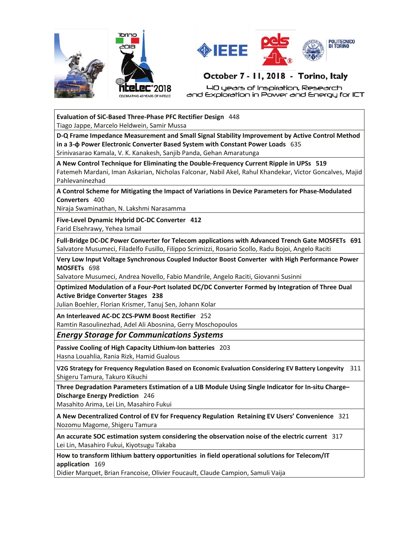



40 years of Inspiration, Research and Exploration in Power and Energy for ICT

#### **Evaluation of SiC-Based Three-Phase PFC Rectifier Design** 448 Tiago Jappe, Marcelo Heldwein, Samir Mussa

**D-Q Frame Impedance Measurement and Small Signal Stability Improvement by Active Control Method in a 3-ʔ Power Electronic Converter Based System with Constant Power Loads** 635

Srinivasarao Kamala, V. K. Kanakesh, Sanjib Panda, Gehan Amaratunga

**A New Control Technique for Eliminating the Double-Frequency Current Ripple in UPSs 519** Fatemeh Mardani, Iman Askarian, Nicholas Falconar, Nabil Akel, Rahul Khandekar, Victor Goncalves, Majid Pahlevaninezhad

**A Control Scheme for Mitigating the Impact of Variations in Device Parameters for Phase-Modulated Converters** 400

Niraja Swaminathan, N. Lakshmi Narasamma

**Five-Level Dynamic Hybrid DC-DC Converter 412** Farid Elsehrawy, Yehea Ismail

**Full-Bridge DC-DC Power Converter for Telecom applications with Advanced Trench Gate MOSFETs 691** Salvatore Musumeci, Filadelfo Fusillo, Filippo Scrimizzi, Rosario Scollo, Radu Bojoi, Angelo Raciti

**Very Low Input Voltage Synchronous Coupled Inductor Boost Converter with High Performance Power MOSFETs** 698

Salvatore Musumeci, Andrea Novello, Fabio Mandrile, Angelo Raciti, Giovanni Susinni

**Optimized Modulation of a Four-Port Isolated DC/DC Converter Formed by Integration of Three Dual Active Bridge Converter Stages 238**

Julian Boehler, Florian Krismer, Tanuj Sen, Johann Kolar

**An Interleaved AC-DC ZCS-PWM Boost Rectifier** 252

Ramtin Rasoulinezhad, Adel Ali Abosnina, Gerry Moschopoulos

*Energy Storage for Communications Systems*

**Passive Cooling of High Capacity Lithium-Ion batteries** 203 Hasna Louahlia, Rania Rizk, Hamid Gualous

**V2G Strategy for Frequency Regulation Based on Economic Evaluation Considering EV Battery Longevity** 311 Shigeru Tamura, Takuro Kikuchi

**Three Degradation Parameters Estimation of a LIB Module Using Single Indicator for In-situ Charge– Discharge Energy Prediction** 246

Masahito Arima, Lei Lin, Masahiro Fukui

**A New Decentralized Control of EV for Frequency Regulation Retaining EV Users' Convenience** 321 Nozomu Magome, Shigeru Tamura

**An accurate SOC estimation system considering the observation noise of the electric current** 317 Lei Lin, Masahiro Fukui, Kiyotsugu Takaba

**How to transform lithium battery opportunities in field operational solutions for Telecom/IT application** 169

Didier Marquet, Brian Francoise, Olivier Foucault, Claude Campion, Samuli Vaija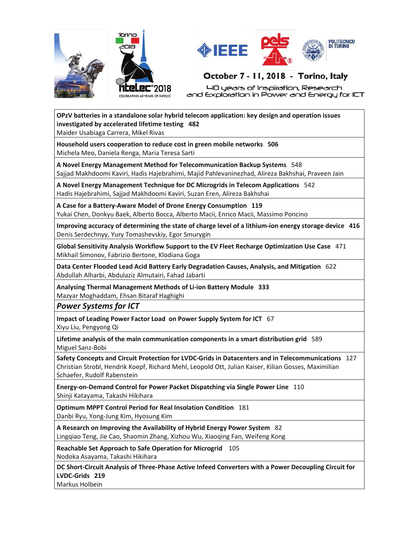



40 years of Inspiration, Research and Exploration in Power and Energy for ICT

**OPzV batteries in a standalone solar hybrid telecom application: key design and operation issues investigated by accelerated lifetime testing 482**

Maider Usabiaga Carrera, Mikel Rivas

**Household users cooperation to reduce cost in green mobile networks 506** Michela Meo, Daniela Renga, Maria Teresa Sarti

**A Novel Energy Management Method for Telecommunication Backup Systems** 548 Sajjad Makhdoomi Kaviri, Hadis Hajebrahimi, Majid Pahlevaninezhad, Alireza Bakhshai, Praveen Jain

**A Novel Energy Management Technique for DC Microgrids in Telecom Applications** 542 Hadis Hajebrahimi, Sajjad Makhdoomi Kaviri, Suzan Eren, Alireza Bakhshai

**A Case for a Battery-Aware Model of Drone Energy Consumption 119** Yukai Chen, Donkyu Baek, Alberto Bocca, Alberto Macii, Enrico Macii, Massimo Poncino

**Improving accuracy of determining the state of charge level of a lithium-ion energy storage device 416** Denis Serdechnyy, Yury Tomashevskiy, Egor Smurygin

**Global Sensitivity Analysis Workflow Support to the EV Fleet Recharge Optimization Use Case** 471 Mikhail Simonov, Fabrizio Bertone, Klodiana Goga

**Data Center Flooded Lead Acid Battery Early Degradation Causes, Analysis, and Mitigation** 622 Abdullah Alharbi, Abdulaziz Almutairi, Fahad Jabarti

**Analysing Thermal Management Methods of Li-ion Battery Module 333** Mazyar Moghaddam, Ehsan Bitaraf Haghighi

*Power Systems for ICT* 

**Impact of Leading Power Factor Load on Power Supply System for ICT** 67 Xiyu Liu, Pengyong Qi

**Lifetime analysis of the main communication components in a smart distribution grid** 589 Miguel Sanz-Bobi

**Safety Concepts and Circuit Protection for LVDC-Grids in Datacenters and in Telecommunications** 127 Christian Strobl, Hendrik Koepf, Richard Mehl, Leopold Ott, Julian Kaiser, Kilian Gosses, Maximilian Schaefer, Rudolf Rabenstein

**Energy-on-Demand Control for Power Packet Dispatching via Single Power Line** 110 Shinji Katayama, Takashi Hikihara

**Optimum MPPT Control Period for Real Insolation Condition** 181 Danbi Ryu, Yong-Jung Kim, Hyosung Kim

**A Research on Improving the Availability of Hybrid Energy Power System** 82 Lingqiao Teng, Jie Cao, Shaomin Zhang, Xizhou Wu, Xiaoqing Fan, Weifeng Kong

**Reachable Set Approach to Safe Operation for Microgrid** 105 Nodoka Asayama, Takashi Hikihara

**DC Short-Circuit Analysis of Three-Phase Active Infeed Converters with a Power Decoupling Circuit for LVDC-Grids 219**

Markus Holbein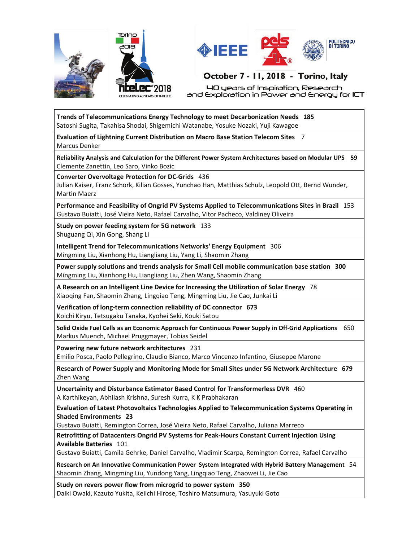



40 years of Inspiration, Research and Exploration in Power and Energy for ICT

**Trends of Telecommunications Energy Technology to meet Decarbonization Needs 185** Satoshi Sugita, Takahisa Shodai, Shigemichi Watanabe, Yosuke Nozaki, Yuji Kawagoe

**Evaluation of Lightning Current Distribution on Macro Base Station Telecom Sites** 7 Marcus Denker

**Reliability Analysis and Calculation for the Different Power System Architectures based on Modular UPS 59** Clemente Zanettin, Leo Saro, Vinko Bozic

**Converter Overvoltage Protection for DC-Grids** 436

Julian Kaiser, Franz Schork, Kilian Gosses, Yunchao Han, Matthias Schulz, Leopold Ott, Bernd Wunder, Martin Maerz

**Performance and Feasibility of Ongrid PV Systems Applied to Telecommunications Sites in Brazil** 153 Gustavo Buiatti, José Vieira Neto, Rafael Carvalho, Vitor Pacheco, Valdiney Oliveira

**Study on power feeding system for 5G network** 133 Shuguang Qi, Xin Gong, Shang Li

**Intelligent Trend for Telecommunications Networks' Energy Equipment** 306 Mingming Liu, Xianhong Hu, Liangliang Liu, Yang Li, Shaomin Zhang

**Power supply solutions and trends analysis for Small Cell mobile communication base station 300** Mingming Liu, Xianhong Hu, Liangliang Liu, Zhen Wang, Shaomin Zhang

**A Research on an Intelligent Line Device for Increasing the Utilization of Solar Energy** 78 Xiaoqing Fan, Shaomin Zhang, Lingqiao Teng, Mingming Liu, Jie Cao, Junkai Li

**Verification of long-term connection reliability of DC connector 673** Koichi Kiryu, Tetsugaku Tanaka, Kyohei Seki, Kouki Satou

**Solid Oxide Fuel Cells as an Economic Approach for Continuous Power Supply in Off-Grid Applications** 650 Markus Muench, Michael Pruggmayer, Tobias Seidel

**Powering new future network architectures** 231

Emilio Posca, Paolo Pellegrino, Claudio Bianco, Marco Vincenzo Infantino, Giuseppe Marone

**Research of Power Supply and Monitoring Mode for Small Sites under 5G Network Architecture 679** Zhen Wang

**Uncertainity and Disturbance Estimator Based Control for Transformerless DVR** 460 A Karthikeyan, Abhilash Krishna, Suresh Kurra, K K Prabhakaran

**Evaluation of Latest Photovoltaics Technologies Applied to Telecommunication Systems Operating in Shaded Environments 23**

Gustavo Buiatti, Remington Correa, José Vieira Neto, Rafael Carvalho, Juliana Marreco

**Retrofitting of Datacenters Ongrid PV Systems for Peak-Hours Constant Current Injection Using Available Batteries** 101

Gustavo Buiatti, Camila Gehrke, Daniel Carvalho, Vladimir Scarpa, Remington Correa, Rafael Carvalho

**Research on An Innovative Communication Power System Integrated with Hybrid Battery Management** 54 Shaomin Zhang, Mingming Liu, Yundong Yang, Lingqiao Teng, Zhaowei Li, Jie Cao

**Study on revers power flow from microgrid to power system 350** Daiki Owaki, Kazuto Yukita, Keiichi Hirose, Toshiro Matsumura, Yasuyuki Goto